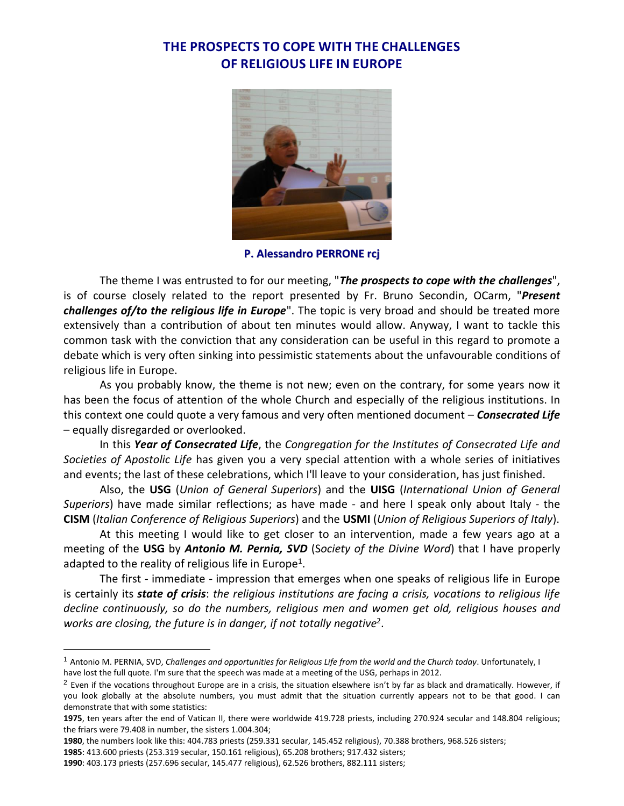# **THE PROSPECTS TO COPE WITH THE CHALLENGES OF RELIGIOUS LIFE IN EUROPE**



**P. Alessandro PERRONE rcj**

The theme I was entrusted to for our meeting, "*The prospects to cope with the challenges*", is of course closely related to the report presented by Fr. Bruno Secondin, OCarm, "*Present challenges of/to the religious life in Europe*". The topic is very broad and should be treated more extensively than a contribution of about ten minutes would allow. Anyway, I want to tackle this common task with the conviction that any consideration can be useful in this regard to promote a debate which is very often sinking into pessimistic statements about the unfavourable conditions of religious life in Europe.

As you probably know, the theme is not new; even on the contrary, for some years now it has been the focus of attention of the whole Church and especially of the religious institutions. In this context one could quote a very famous and very often mentioned document – *Consecrated Life* – equally disregarded or overlooked.

In this *Year of Consecrated Life*, the *Congregation for the Institutes of Consecrated Life and Societies of Apostolic Life* has given you a very special attention with a whole series of initiatives and events; the last of these celebrations, which I'll leave to your consideration, has just finished.

Also, the **USG** (*Union of General Superiors*) and the **UISG** (*International Union of General Superiors*) have made similar reflections; as have made - and here I speak only about Italy - the **CISM** (*Italian Conference of Religious Superiors*) and the **USMI** (*Union of Religious Superiors of Italy*).

At this meeting I would like to get closer to an intervention, made a few years ago at a meeting of the **USG** by *Antonio M. Pernia, SVD* (S*ociety of the Divine Word*) that I have properly adapted to the reality of religious life in Europe<sup>1</sup>.

The first - immediate - impression that emerges when one speaks of religious life in Europe is certainly its *state of crisis*: *the religious institutions are facing a crisis, vocations to religious life decline continuously, so do the numbers, religious men and women get old, religious houses and works are closing, the future is in danger, if not totally negative*<sup>2</sup> .

<sup>1</sup> Antonio M. PERNIA, SVD, *Challenges and opportunities for Religious Life from the world and the Church today*. Unfortunately, I have lost the full quote. I'm sure that the speech was made at a meeting of the USG, perhaps in 2012.

 $<sup>2</sup>$  Even if the vocations throughout Europe are in a crisis, the situation elsewhere isn't by far as black and dramatically. However, if</sup> you look globally at the absolute numbers, you must admit that the situation currently appears not to be that good. I can demonstrate that with some statistics:

**<sup>1975</sup>**, ten years after the end of Vatican II, there were worldwide 419.728 priests, including 270.924 secular and 148.804 religious; the friars were 79.408 in number, the sisters 1.004.304;

**<sup>1980</sup>**, the numbers look like this: 404.783 priests (259.331 secular, 145.452 religious), 70.388 brothers, 968.526 sisters;

**<sup>1985</sup>**: 413.600 priests (253.319 secular, 150.161 religious), 65.208 brothers; 917.432 sisters;

**<sup>1990</sup>**: 403.173 priests (257.696 secular, 145.477 religious), 62.526 brothers, 882.111 sisters;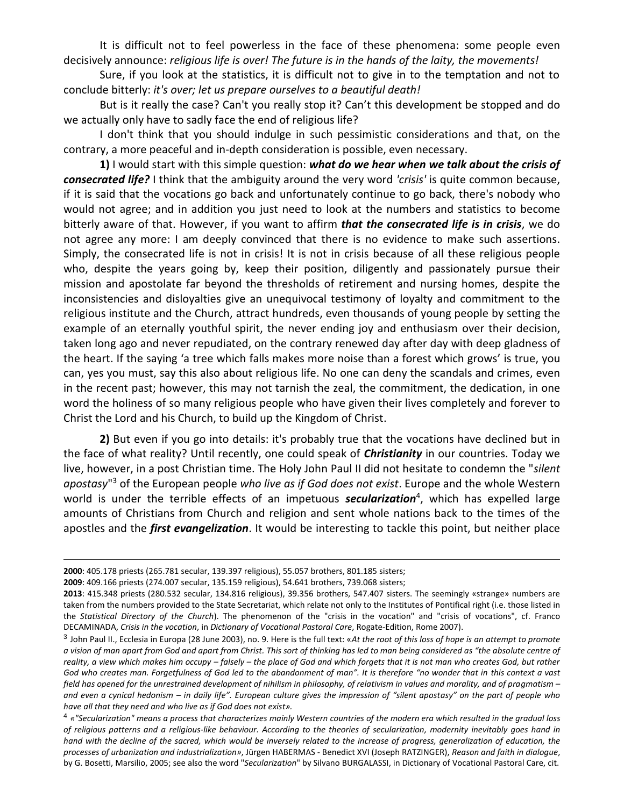It is difficult not to feel powerless in the face of these phenomena: some people even decisively announce: *religious life is over! The future is in the hands of the laity, the movements!*

Sure, if you look at the statistics, it is difficult not to give in to the temptation and not to conclude bitterly: *it's over; let us prepare ourselves to a beautiful death!*

But is it really the case? Can't you really stop it? Can't this development be stopped and do we actually only have to sadly face the end of religious life?

I don't think that you should indulge in such pessimistic considerations and that, on the contrary, a more peaceful and in-depth consideration is possible, even necessary.

**1)** I would start with this simple question: *what do we hear when we talk about the crisis of consecrated life?* I think that the ambiguity around the very word *'crisis'* is quite common because, if it is said that the vocations go back and unfortunately continue to go back, there's nobody who would not agree; and in addition you just need to look at the numbers and statistics to become bitterly aware of that. However, if you want to affirm *that the consecrated life is in crisis*, we do not agree any more: I am deeply convinced that there is no evidence to make such assertions. Simply, the consecrated life is not in crisis! It is not in crisis because of all these religious people who, despite the years going by, keep their position, diligently and passionately pursue their mission and apostolate far beyond the thresholds of retirement and nursing homes, despite the inconsistencies and disloyalties give an unequivocal testimony of loyalty and commitment to the religious institute and the Church, attract hundreds, even thousands of young people by setting the example of an eternally youthful spirit, the never ending joy and enthusiasm over their decision, taken long ago and never repudiated, on the contrary renewed day after day with deep gladness of the heart. If the saying 'a tree which falls makes more noise than a forest which grows' is true, you can, yes you must, say this also about religious life. No one can deny the scandals and crimes, even in the recent past; however, this may not tarnish the zeal, the commitment, the dedication, in one word the holiness of so many religious people who have given their lives completely and forever to Christ the Lord and his Church, to build up the Kingdom of Christ.

**2)** But even if you go into details: it's probably true that the vocations have declined but in the face of what reality? Until recently, one could speak of *Christianity* in our countries. Today we live, however, in a post Christian time. The Holy John Paul II did not hesitate to condemn the "*silent apostasy*" <sup>3</sup> of the European people *who live as if God does not exist*. Europe and the whole Western world is under the terrible effects of an impetuous *secularization<sup>4</sup>*, which has expelled large amounts of Christians from Church and religion and sent whole nations back to the times of the apostles and the *first evangelization*. It would be interesting to tackle this point, but neither place

**<sup>2000</sup>**: 405.178 priests (265.781 secular, 139.397 religious), 55.057 brothers, 801.185 sisters;

**<sup>2009</sup>**: 409.166 priests (274.007 secular, 135.159 religious), 54.641 brothers, 739.068 sisters;

**<sup>2013</sup>**: 415.348 priests (280.532 secular, 134.816 religious), 39.356 brothers, 547.407 sisters. The seemingly «strange» numbers are taken from the numbers provided to the State Secretariat, which relate not only to the Institutes of Pontifical right (i.e. those listed in the *Statistical Directory of the Church*). The phenomenon of the "crisis in the vocation" and "crisis of vocations", cf. Franco DECAMINADA, *Crisis in the vocation*, in *Dictionary of Vocational Pastoral Care*, Rogate-Edition, Rome 2007).

<sup>3</sup> John Paul II., Ecclesia in Europa (28 June 2003), no. 9. Here is the full text: «*At the root of this loss of hope is an attempt to promote a vision of man apart from God and apart from Christ. This sort of thinking has led to man being considered as "the absolute centre of reality, a view which makes him occupy – falsely – the place of God and which forgets that it is not man who creates God, but rather God who creates man. Forgetfulness of God led to the abandonment of man". It is therefore "no wonder that in this context a vast field has opened for the unrestrained development of nihilism in philosophy, of relativism in values and morality, and of pragmatism – and even a cynical hedonism – in daily life". European culture gives the impression of "silent apostasy" on the part of people who have all that they need and who live as if God does not exist».*

<sup>4</sup> *«"Secularization" means a process that characterizes mainly Western countries of the modern era which resulted in the gradual loss of religious patterns and a religious-like behaviour. According to the theories of secularization, modernity inevitably goes hand in hand with the decline of the sacred, which would be inversely related to the increase of progress, generalization of education, the processes of urbanization and industrialization»*, Jürgen HABERMAS - Benedict XVI (Joseph RATZINGER), *Reason and faith in dialogue*, by G. Bosetti, Marsilio, 2005; see also the word "*Secularization*" by Silvano BURGALASSI, in Dictionary of Vocational Pastoral Care, cit.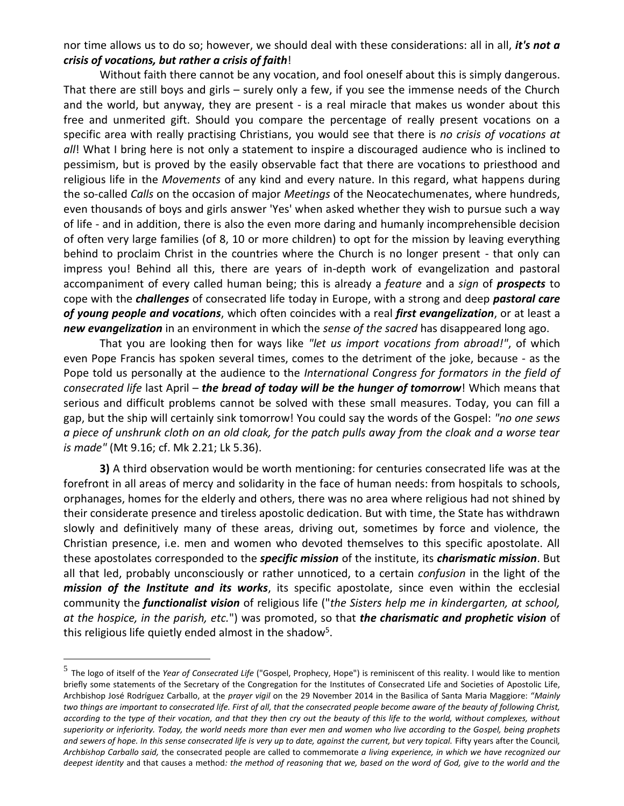nor time allows us to do so; however, we should deal with these considerations: all in all, *it's not a crisis of vocations, but rather a crisis of faith*!

Without faith there cannot be any vocation, and fool oneself about this is simply dangerous. That there are still boys and girls – surely only a few, if you see the immense needs of the Church and the world, but anyway, they are present - is a real miracle that makes us wonder about this free and unmerited gift. Should you compare the percentage of really present vocations on a specific area with really practising Christians, you would see that there is *no crisis of vocations at all*! What I bring here is not only a statement to inspire a discouraged audience who is inclined to pessimism, but is proved by the easily observable fact that there are vocations to priesthood and religious life in the *Movements* of any kind and every nature. In this regard, what happens during the so-called *Calls* on the occasion of major *Meetings* of the Neocatechumenates, where hundreds, even thousands of boys and girls answer 'Yes' when asked whether they wish to pursue such a way of life - and in addition, there is also the even more daring and humanly incomprehensible decision of often very large families (of 8, 10 or more children) to opt for the mission by leaving everything behind to proclaim Christ in the countries where the Church is no longer present - that only can impress you! Behind all this, there are years of in-depth work of evangelization and pastoral accompaniment of every called human being; this is already a *feature* and a *sign* of *prospects* to cope with the *challenges* of consecrated life today in Europe, with a strong and deep *pastoral care of young people and vocations*, which often coincides with a real *first evangelization*, or at least a *new evangelization* in an environment in which the *sense of the sacred* has disappeared long ago.

That you are looking then for ways like *"let us import vocations from abroad!"*, of which even Pope Francis has spoken several times, comes to the detriment of the joke, because - as the Pope told us personally at the audience to the *International Congress for formators in the field of consecrated life* last April – *the bread of today will be the hunger of tomorrow*! Which means that serious and difficult problems cannot be solved with these small measures. Today, you can fill a gap, but the ship will certainly sink tomorrow! You could say the words of the Gospel: *"no one sews a piece of unshrunk cloth on an old cloak, for the patch pulls away from the cloak and a worse tear is made"* (Mt 9.16; cf. Mk 2.21; Lk 5.36).

**3)** A third observation would be worth mentioning: for centuries consecrated life was at the forefront in all areas of mercy and solidarity in the face of human needs: from hospitals to schools, orphanages, homes for the elderly and others, there was no area where religious had not shined by their considerate presence and tireless apostolic dedication. But with time, the State has withdrawn slowly and definitively many of these areas, driving out, sometimes by force and violence, the Christian presence, i.e. men and women who devoted themselves to this specific apostolate. All these apostolates corresponded to the *specific mission* of the institute, its *charismatic mission*. But all that led, probably unconsciously or rather unnoticed, to a certain *confusion* in the light of the *mission of the Institute and its works*, its specific apostolate, since even within the ecclesial community the *functionalist vision* of religious life ("*the Sisters help me in kindergarten, at school, at the hospice, in the parish, etc.*") was promoted, so that *the charismatic and prophetic vision* of this religious life quietly ended almost in the shadow<sup>5</sup>.

<sup>5</sup> The logo of itself of the *Year of Consecrated Life* ("Gospel, Prophecy, Hope") is reminiscent of this reality. I would like to mention briefly some statements of the Secretary of the Congregation for the Institutes of Consecrated Life and Societies of Apostolic Life, Archbishop José Rodríguez Carballo, at the *prayer vigil* on the 29 November 2014 in the Basilica of Santa Maria Maggiore: "*Mainly two things are important to consecrated life. First of all, that the consecrated people become aware of the beauty of following Christ, according to the type of their vocation, and that they then cry out the beauty of this life to the world, without complexes, without superiority or inferiority. Today, the world needs more than ever men and women who live according to the Gospel, being prophets and sewers of hope. In this sense consecrated life is very up to date, against the current, but very topical.* Fifty years after the Council*, Archbishop Carballo said,* the consecrated people are called to commemorate *a living experience, in which we have recognized our deepest identity* and that causes a method*: the method of reasoning that we, based on the word of God, give to the world and the*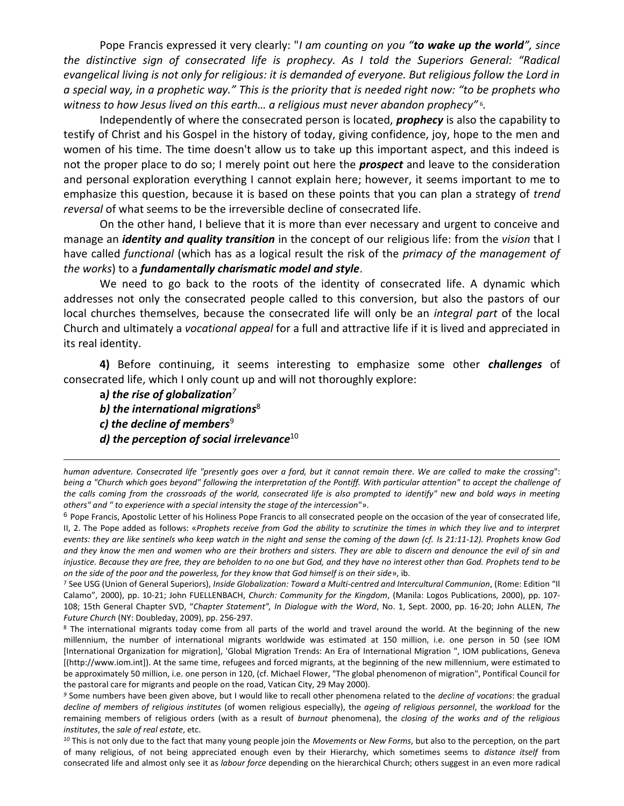Pope Francis expressed it very clearly: "*I am counting on you "to wake up the world", since the distinctive sign of consecrated life is prophecy. As I told the Superiors General: "Radical evangelical living is not only for religious: it is demanded of everyone. But religious follow the Lord in a special way, in a prophetic way." This is the priority that is needed right now: "to be prophets who witness to how Jesus lived on this earth… a religious must never abandon prophecy"* <sup>6</sup> *.*

Independently of where the consecrated person is located, *prophecy* is also the capability to testify of Christ and his Gospel in the history of today, giving confidence, joy, hope to the men and women of his time. The time doesn't allow us to take up this important aspect, and this indeed is not the proper place to do so; I merely point out here the *prospect* and leave to the consideration and personal exploration everything I cannot explain here; however, it seems important to me to emphasize this question, because it is based on these points that you can plan a strategy of *trend reversal* of what seems to be the irreversible decline of consecrated life.

On the other hand, I believe that it is more than ever necessary and urgent to conceive and manage an *identity and quality transition* in the concept of our religious life: from the *vision* that I have called *functional* (which has as a logical result the risk of the *primacy of the management of the works*) to a *fundamentally charismatic model and style*.

We need to go back to the roots of the identity of consecrated life. A dynamic which addresses not only the consecrated people called to this conversion, but also the pastors of our local churches themselves, because the consecrated life will only be an *integral part* of the local Church and ultimately a *vocational appeal* for a full and attractive life if it is lived and appreciated in its real identity.

**4)** Before continuing, it seems interesting to emphasize some other *challenges* of consecrated life, which I only count up and will not thoroughly explore:

**a***) the rise of globalization<sup>7</sup>*

*b) the international migrations*<sup>8</sup>

*c) the decline of members*<sup>9</sup>

 $\overline{a}$ 

*d) the perception of social irrelevance*<sup>10</sup>

<sup>6</sup> Pope Francis, Apostolic Letter of his Holiness Pope Francis to all consecrated people on the occasion of the year of consecrated life, II, 2. The Pope added as follows: «*Prophets receive from God the ability to scrutinize the times in which they live and to interpret events: they are like sentinels who keep watch in the night and sense the coming of the dawn (cf. Is 21:11-12). Prophets know God and they know the men and women who are their brothers and sisters. They are able to discern and denounce the evil of sin and injustice. Because they are free, they are beholden to no one but God, and they have no interest other than God. Prophets tend to be on the side of the poor and the powerless, for they know that God himself is on their side*», ib.

*<sup>10</sup>* This is not only due to the fact that many young people join the *Movements* or *New Forms*, but also to the perception, on the part of many religious, of not being appreciated enough even by their Hierarchy, which sometimes seems to *distance itself* from consecrated life and almost only see it as *labour force* depending on the hierarchical Church; others suggest in an even more radical

*human adventure. Consecrated life "presently goes over a ford, but it cannot remain there*. *We are called to make the crossing*": *being a "Church which goes beyond" following the interpretation of the Pontiff. With particular attention" to accept the challenge of the calls coming from the crossroads of the world, consecrated life is also prompted to identify" new and bold ways in meeting others" and " to experience with a special intensity the stage of the intercession*"».

<sup>7</sup> See USG (Union of General Superiors), *Inside Globalization: Toward a Multi-centred and Intercultural Communion*, (Rome: Edition "Il Calamo", 2000), pp. 10-21; John FUELLENBACH, *Church: Community for the Kingdom*, (Manila: Logos Publications, 2000), pp. 107- 108; 15th General Chapter SVD, "*Chapter Statement", In Dialogue with the Word*, No. 1, Sept. 2000, pp. 16-20; John ALLEN, *The Future Church* (NY: Doubleday, 2009), pp. 256-297.

<sup>&</sup>lt;sup>8</sup> The international migrants today come from all parts of the world and travel around the world. At the beginning of the new millennium, the number of international migrants worldwide was estimated at 150 million, i.e. one person in 50 (see IOM [International Organization for migration], 'Global Migration Trends: An Era of International Migration ", IOM publications, Geneva [(http://www.iom.int]). At the same time, refugees and forced migrants, at the beginning of the new millennium, were estimated to be approximately 50 million, i.e. one person in 120, (cf. Michael Flower, "The global phenomenon of migration", Pontifical Council for the pastoral care for migrants and people on the road, Vatican City, 29 May 2000).

*<sup>9</sup>* Some numbers have been given above, but I would like to recall other phenomena related to the *decline of vocations*: the gradual *decline of members of religious institutes* (of women religious especially), the *ageing of religious personnel*, the *workload* for the remaining members of religious orders (with as a result of *burnout* phenomena), the *closing of the works and of the religious institutes*, the *sale of real estate*, etc.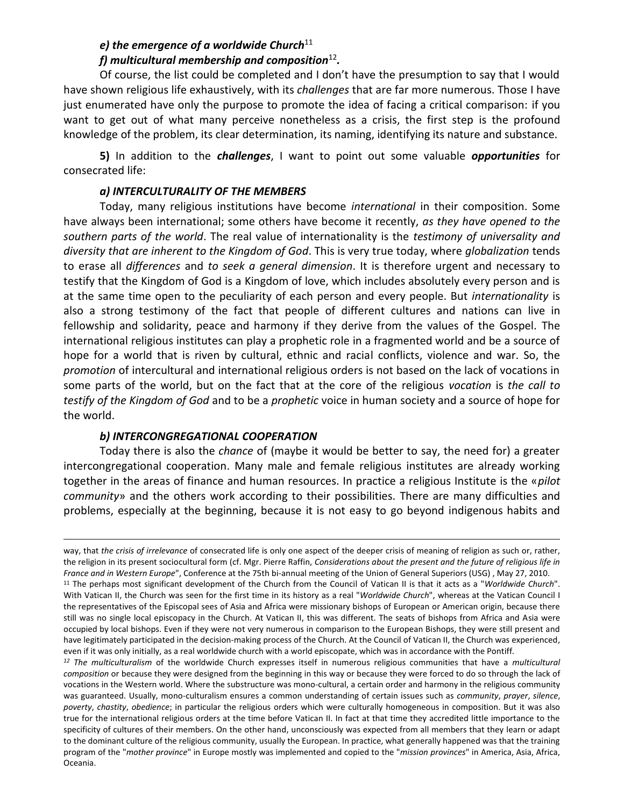# *e) the emergence of a worldwide Church*<sup>11</sup> *f) multicultural membership and composition*<sup>12</sup> *.*

Of course, the list could be completed and I don't have the presumption to say that I would have shown religious life exhaustively, with its *challenges* that are far more numerous. Those I have just enumerated have only the purpose to promote the idea of facing a critical comparison: if you want to get out of what many perceive nonetheless as a crisis, the first step is the profound knowledge of the problem, its clear determination, its naming, identifying its nature and substance.

**5)** In addition to the *challenges*, I want to point out some valuable *opportunities* for consecrated life:

## *a) INTERCULTURALITY OF THE MEMBERS*

Today, many religious institutions have become *international* in their composition. Some have always been international; some others have become it recently, *as they have opened to the southern parts of the world*. The real value of internationality is the *testimony of universality and diversity that are inherent to the Kingdom of God*. This is very true today, where *globalization* tends to erase all *differences* and *to seek a general dimension*. It is therefore urgent and necessary to testify that the Kingdom of God is a Kingdom of love, which includes absolutely every person and is at the same time open to the peculiarity of each person and every people. But *internationality* is also a strong testimony of the fact that people of different cultures and nations can live in fellowship and solidarity, peace and harmony if they derive from the values of the Gospel. The international religious institutes can play a prophetic role in a fragmented world and be a source of hope for a world that is riven by cultural, ethnic and racial conflicts, violence and war. So, the *promotion* of intercultural and international religious orders is not based on the lack of vocations in some parts of the world, but on the fact that at the core of the religious *vocation* is *the call to testify of the Kingdom of God* and to be a *prophetic* voice in human society and a source of hope for the world.

## *b) INTERCONGREGATIONAL COOPERATION*

 $\overline{a}$ 

Today there is also the *chance* of (maybe it would be better to say, the need for) a greater intercongregational cooperation. Many male and female religious institutes are already working together in the areas of finance and human resources. In practice a religious Institute is the «*pilot community*» and the others work according to their possibilities. There are many difficulties and problems, especially at the beginning, because it is not easy to go beyond indigenous habits and

have legitimately participated in the decision-making process of the Church. At the Council of Vatican II, the Church was experienced, even if it was only initially, as a real worldwide church with a world episcopate, which was in accordance with the Pontiff*.*

*<sup>12</sup> The multiculturalism* of the worldwide Church expresses itself in numerous religious communities that have a *multicultural composition* or because they were designed from the beginning in this way or because they were forced to do so through the lack of vocations in the Western world. Where the substructure was mono-cultural, a certain order and harmony in the religious community was guaranteed. Usually, mono-culturalism ensures a common understanding of certain issues such as *community*, *prayer*, *silence*, *poverty*, *chastity*, *obedience*; in particular the religious orders which were culturally homogeneous in composition. But it was also true for the international religious orders at the time before Vatican II. In fact at that time they accredited little importance to the specificity of cultures of their members. On the other hand, unconsciously was expected from all members that they learn or adapt to the dominant culture of the religious community, usually the European. In practice, what generally happened was that the training program of the "*mother province*" in Europe mostly was implemented and copied to the "*mission provinces*" in America, Asia, Africa, Oceania.

way, that *the crisis of irrelevance* of consecrated life is only one aspect of the deeper crisis of meaning of religion as such or, rather, the religion in its present sociocultural form (cf. Mgr. Pierre Raffin, *Considerations about the present and the future of religious life in France and in Western Europe*", Conference at the 75th bi-annual meeting of the Union of General Superiors (USG) , May 27, 2010. <sup>11</sup> The perhaps most significant development of the Church from the Council of Vatican II is that it acts as a "*Worldwide Church*". With Vatican II, the Church was seen for the first time in its history as a real "*Worldwide Church*", whereas at the Vatican Council I the representatives of the Episcopal sees of Asia and Africa were missionary bishops of European or American origin, because there still was no single local episcopacy in the Church. At Vatican II, this was different. The seats of bishops from Africa and Asia were occupied by local bishops. Even if they were not very numerous in comparison to the European Bishops, they were still present and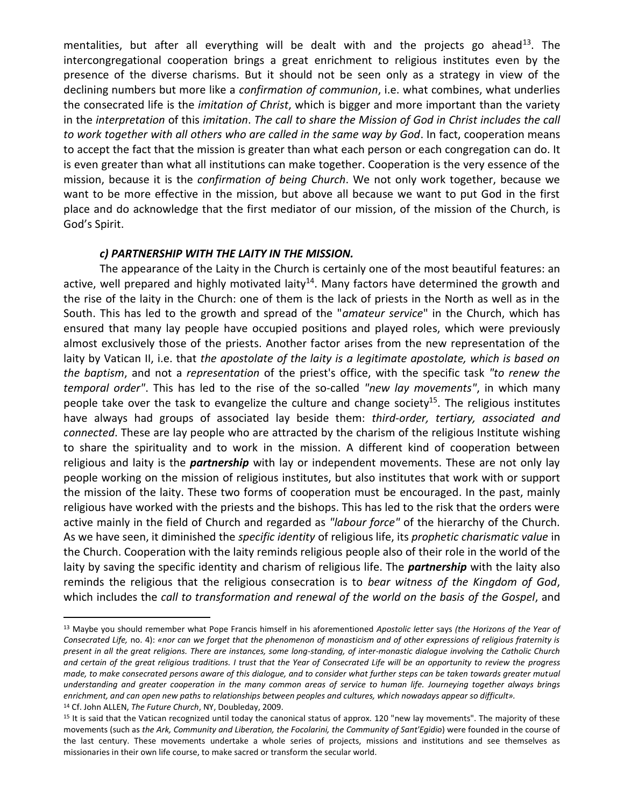mentalities, but after all everything will be dealt with and the projects go ahead<sup>13</sup>. The intercongregational cooperation brings a great enrichment to religious institutes even by the presence of the diverse charisms. But it should not be seen only as a strategy in view of the declining numbers but more like a *confirmation of communion*, i.e. what combines, what underlies the consecrated life is the *imitation of Christ*, which is bigger and more important than the variety in the *interpretation* of this *imitation*. *The call to share the Mission of God in Christ includes the call to work together with all others who are called in the same way by God*. In fact, cooperation means to accept the fact that the mission is greater than what each person or each congregation can do. It is even greater than what all institutions can make together. Cooperation is the very essence of the mission, because it is the *confirmation of being Church*. We not only work together, because we want to be more effective in the mission, but above all because we want to put God in the first place and do acknowledge that the first mediator of our mission, of the mission of the Church, is God's Spirit.

#### *c) PARTNERSHIP WITH THE LAITY IN THE MISSION.*

The appearance of the Laity in the Church is certainly one of the most beautiful features: an active, well prepared and highly motivated laity<sup>14</sup>. Many factors have determined the growth and the rise of the laity in the Church: one of them is the lack of priests in the North as well as in the South. This has led to the growth and spread of the "*amateur service*" in the Church, which has ensured that many lay people have occupied positions and played roles, which were previously almost exclusively those of the priests. Another factor arises from the new representation of the laity by Vatican II, i.e. that *the apostolate of the laity is a legitimate apostolate, which is based on the baptism*, and not a *representation* of the priest's office, with the specific task *"to renew the temporal order"*. This has led to the rise of the so-called *"new lay movements"*, in which many people take over the task to evangelize the culture and change society<sup>15</sup>. The religious institutes have always had groups of associated lay beside them: *third-order, tertiary, associated and connected*. These are lay people who are attracted by the charism of the religious Institute wishing to share the spirituality and to work in the mission. A different kind of cooperation between religious and laity is the *partnership* with lay or independent movements. These are not only lay people working on the mission of religious institutes, but also institutes that work with or support the mission of the laity. These two forms of cooperation must be encouraged. In the past, mainly religious have worked with the priests and the bishops. This has led to the risk that the orders were active mainly in the field of Church and regarded as *"labour force"* of the hierarchy of the Church. As we have seen, it diminished the *specific identity* of religious life, its *prophetic charismatic value* in the Church. Cooperation with the laity reminds religious people also of their role in the world of the laity by saving the specific identity and charism of religious life. The *partnership* with the laity also reminds the religious that the religious consecration is to *bear witness of the Kingdom of God*, which includes the *call to transformation and renewal of the world on the basis of the Gospel*, and

<sup>14</sup> Cf. John ALLEN, *The Future Church*, NY, Doubleday, 2009.

<sup>13</sup> Maybe you should remember what Pope Francis himself in his aforementioned *Apostolic letter* says *(the Horizons of the Year of Consecrated Life,* no. 4): *«nor can we forget that the phenomenon of monasticism and of other expressions of religious fraternity is present in all the great religions. There are instances, some long-standing, of inter-monastic dialogue involving the Catholic Church and certain of the great religious traditions. I trust that the Year of Consecrated Life will be an opportunity to review the progress made, to make consecrated persons aware of this dialogue, and to consider what further steps can be taken towards greater mutual understanding and greater cooperation in the many common areas of service to human life. Journeying together always brings enrichment, and can open new paths to relationships between peoples and cultures, which nowadays appear so difficult».*

<sup>&</sup>lt;sup>15</sup> It is said that the Vatican recognized until today the canonical status of approx. 120 "new lay movements". The majority of these movements (such as *the Ark, Community and Liberation, the Focolarini, the Community of Sant'Egidio*) were founded in the course of the last century. These movements undertake a whole series of projects, missions and institutions and see themselves as missionaries in their own life course, to make sacred or transform the secular world.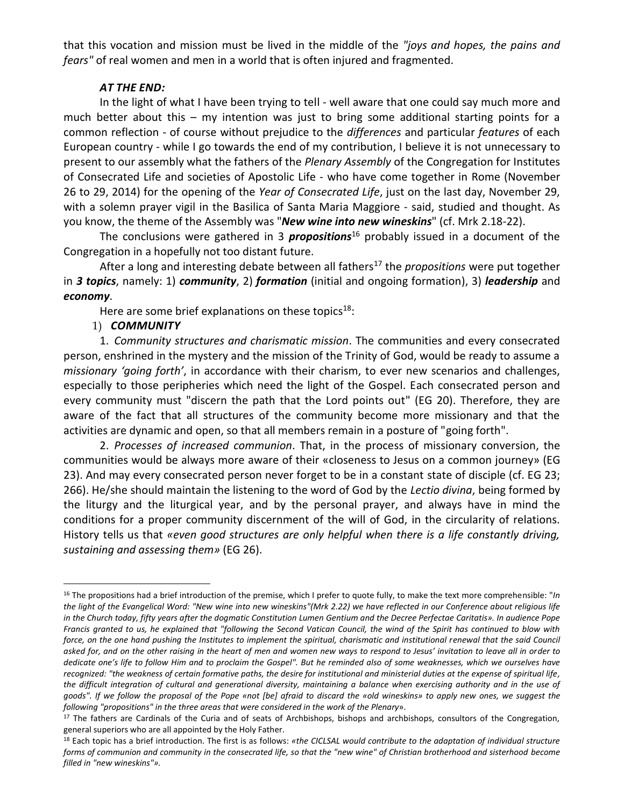that this vocation and mission must be lived in the middle of the *"joys and hopes, the pains and fears"* of real women and men in a world that is often injured and fragmented.

#### *AT THE END:*

In the light of what I have been trying to tell - well aware that one could say much more and much better about this – my intention was just to bring some additional starting points for a common reflection - of course without prejudice to the *differences* and particular *features* of each European country - while I go towards the end of my contribution, I believe it is not unnecessary to present to our assembly what the fathers of the *Plenary Assembly* of the Congregation for Institutes of Consecrated Life and societies of Apostolic Life - who have come together in Rome (November 26 to 29, 2014) for the opening of the *Year of Consecrated Life*, just on the last day, November 29, with a solemn prayer vigil in the Basilica of Santa Maria Maggiore - said, studied and thought. As you know, the theme of the Assembly was "*New wine into new wineskins*" (cf. Mrk 2.18-22).

The conclusions were gathered in 3 *propositions*<sup>16</sup> probably issued in a document of the Congregation in a hopefully not too distant future.

After a long and interesting debate between all fathers<sup>17</sup> the *propositions* were put together in *3 topics*, namely: 1) *community*, 2) *formation* (initial and ongoing formation), 3) *leadership* and *economy*.

Here are some brief explanations on these topics $18$ :

### 1) *COMMUNITY*

 $\overline{a}$ 

1. *Community structures and charismatic mission*. The communities and every consecrated person, enshrined in the mystery and the mission of the Trinity of God, would be ready to assume a *missionary 'going forth'*, in accordance with their charism, to ever new scenarios and challenges, especially to those peripheries which need the light of the Gospel. Each consecrated person and every community must "discern the path that the Lord points out" (EG 20). Therefore, they are aware of the fact that all structures of the community become more missionary and that the activities are dynamic and open, so that all members remain in a posture of "going forth".

2. *Processes of increased communion*. That, in the process of missionary conversion, the communities would be always more aware of their «closeness to Jesus on a common journey» (EG 23). And may every consecrated person never forget to be in a constant state of disciple (cf. EG 23; 266). He/she should maintain the listening to the word of God by the *Lectio divina*, being formed by the liturgy and the liturgical year, and by the personal prayer, and always have in mind the conditions for a proper community discernment of the will of God, in the circularity of relations. History tells us that *«even good structures are only helpful when there is a life constantly driving, sustaining and assessing them»* (EG 26).

<sup>16</sup> The propositions had a brief introduction of the premise, which I prefer to quote fully, to make the text more comprehensible: "*In the light of the Evangelical Word: "New wine into new wineskins"(Mrk 2.22) we have reflected in our Conference about religious life in the Church today, fifty years after the dogmatic Constitution Lumen Gentium and the Decree Perfectae Caritatis». In audience Pope Francis granted to us, he explained that "following the Second Vatican Council, the wind of the Spirit has continued to blow with force, on the one hand pushing the Institutes to implement the spiritual, charismatic and institutional renewal that the said Council asked for, and on the other raising in the heart of men and women new ways to respond to Jesus' invitation to leave all in order to dedicate one's life to follow Him and to proclaim the Gospel". But he reminded also of some weaknesses, which we ourselves have recognized: "the weakness of certain formative paths, the desire for institutional and ministerial duties at the expense of spiritual life, the difficult integration of cultural and generational diversity, maintaining a balance when exercising authority and in the use of goods". If we follow the proposal of the Pope «not [be] afraid to discard the «old wineskins» to apply new ones, we suggest the following "propositions" in the three areas that were considered in the work of the Plenary*».

<sup>&</sup>lt;sup>17</sup> The fathers are Cardinals of the Curia and of seats of Archbishops, bishops and archbishops, consultors of the Congregation, general superiors who are all appointed by the Holy Father.

<sup>18</sup> Each topic has a brief introduction. The first is as follows: *«the CICLSAL would contribute to the adaptation of individual structure forms of communion and community in the consecrated life, so that the "new wine" of Christian brotherhood and sisterhood become filled in "new wineskins"».*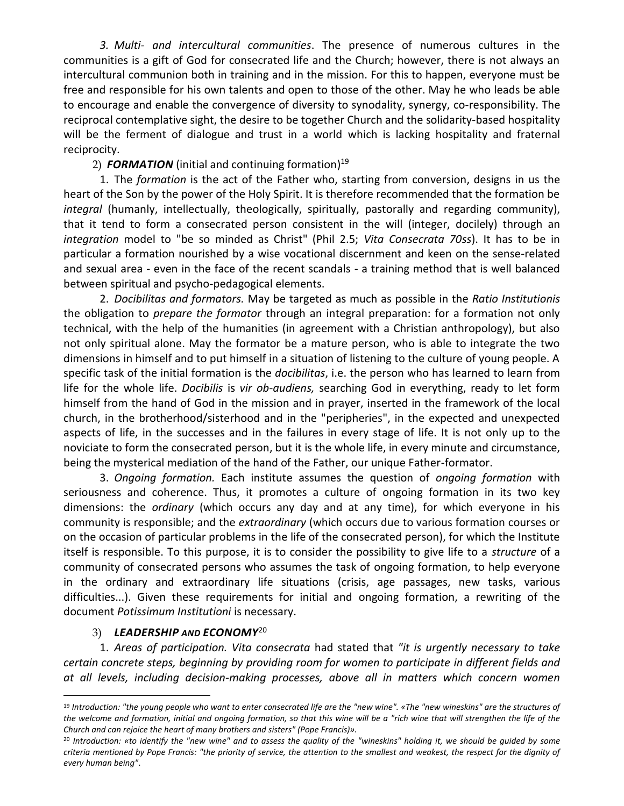*3. Multi- and intercultural communities*. The presence of numerous cultures in the communities is a gift of God for consecrated life and the Church; however, there is not always an intercultural communion both in training and in the mission. For this to happen, everyone must be free and responsible for his own talents and open to those of the other. May he who leads be able to encourage and enable the convergence of diversity to synodality, synergy, co-responsibility. The reciprocal contemplative sight, the desire to be together Church and the solidarity-based hospitality will be the ferment of dialogue and trust in a world which is lacking hospitality and fraternal reciprocity.

## 2) *FORMATION* (initial and continuing formation) 19

1. The *formation* is the act of the Father who, starting from conversion, designs in us the heart of the Son by the power of the Holy Spirit. It is therefore recommended that the formation be *integral* (humanly, intellectually, theologically, spiritually, pastorally and regarding community), that it tend to form a consecrated person consistent in the will (integer, docilely) through an *integration* model to "be so minded as Christ" (Phil 2.5; *Vita Consecrata 70ss*). It has to be in particular a formation nourished by a wise vocational discernment and keen on the sense-related and sexual area - even in the face of the recent scandals - a training method that is well balanced between spiritual and psycho-pedagogical elements.

2. *Docibilitas and formators.* May be targeted as much as possible in the *Ratio Institutionis* the obligation to *prepare the formator* through an integral preparation: for a formation not only technical, with the help of the humanities (in agreement with a Christian anthropology), but also not only spiritual alone. May the formator be a mature person, who is able to integrate the two dimensions in himself and to put himself in a situation of listening to the culture of young people. A specific task of the initial formation is the *docibilitas*, i.e. the person who has learned to learn from life for the whole life. *Docibilis* is *vir ob-audiens,* searching God in everything, ready to let form himself from the hand of God in the mission and in prayer, inserted in the framework of the local church, in the brotherhood/sisterhood and in the "peripheries", in the expected and unexpected aspects of life, in the successes and in the failures in every stage of life. It is not only up to the noviciate to form the consecrated person, but it is the whole life, in every minute and circumstance, being the mysterical mediation of the hand of the Father, our unique Father-formator.

3. *Ongoing formation.* Each institute assumes the question of *ongoing formation* with seriousness and coherence. Thus, it promotes a culture of ongoing formation in its two key dimensions: the *ordinary* (which occurs any day and at any time), for which everyone in his community is responsible; and the *extraordinary* (which occurs due to various formation courses or on the occasion of particular problems in the life of the consecrated person), for which the Institute itself is responsible. To this purpose, it is to consider the possibility to give life to a *structure* of a community of consecrated persons who assumes the task of ongoing formation, to help everyone in the ordinary and extraordinary life situations (crisis, age passages, new tasks, various difficulties...). Given these requirements for initial and ongoing formation, a rewriting of the document *Potissimum Institutioni* is necessary.

### 3) *LEADERSHIP AND ECONOMY*<sup>20</sup>

 $\overline{a}$ 

1. *Areas of participation. Vita consecrata* had stated that *"it is urgently necessary to take certain concrete steps, beginning by providing room for women to participate in different fields and at all levels, including decision-making processes, above all in matters which concern women* 

<sup>19</sup> *Introduction: "the young people who want to enter consecrated life are the "new wine". «The "new wineskins" are the structures of the welcome and formation, initial and ongoing formation, so that this wine will be a "rich wine that will strengthen the life of the Church and can rejoice the heart of many brothers and sisters" (Pope Francis)».*

<sup>20</sup> *Introduction: «to identify the "new wine" and to assess the quality of the "wineskins" holding it, we should be guided by some criteria mentioned by Pope Francis: "the priority of service, the attention to the smallest and weakest, the respect for the dignity of every human being"*.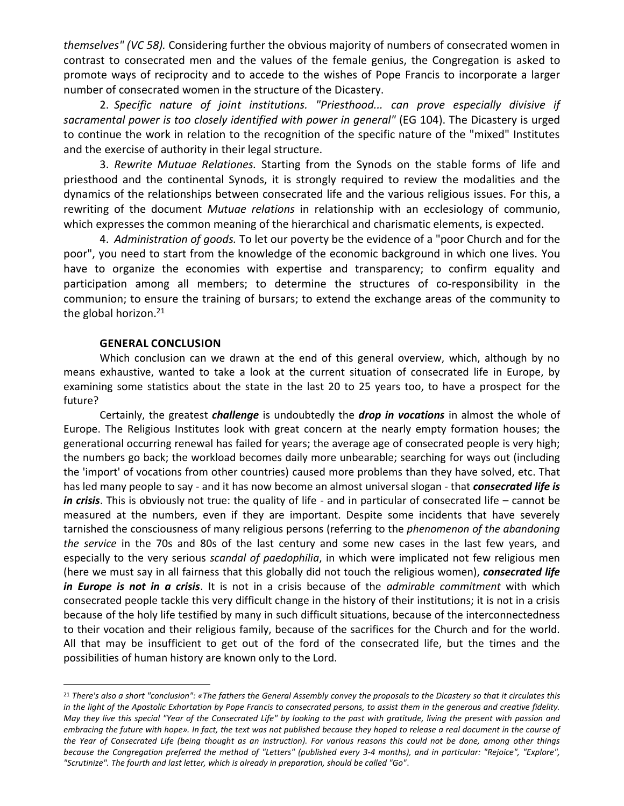*themselves" (VC 58).* Considering further the obvious majority of numbers of consecrated women in contrast to consecrated men and the values of the female genius, the Congregation is asked to promote ways of reciprocity and to accede to the wishes of Pope Francis to incorporate a larger number of consecrated women in the structure of the Dicastery.

2. *Specific nature of joint institutions. "Priesthood... can prove especially divisive if sacramental power is too closely identified with power in general"* (EG 104). The Dicastery is urged to continue the work in relation to the recognition of the specific nature of the "mixed" Institutes and the exercise of authority in their legal structure.

3. *Rewrite Mutuae Relationes.* Starting from the Synods on the stable forms of life and priesthood and the continental Synods, it is strongly required to review the modalities and the dynamics of the relationships between consecrated life and the various religious issues. For this, a rewriting of the document *Mutuae relations* in relationship with an ecclesiology of communio, which expresses the common meaning of the hierarchical and charismatic elements, is expected.

4. *Administration of goods.* To let our poverty be the evidence of a "poor Church and for the poor", you need to start from the knowledge of the economic background in which one lives. You have to organize the economies with expertise and transparency; to confirm equality and participation among all members; to determine the structures of co-responsibility in the communion; to ensure the training of bursars; to extend the exchange areas of the community to the global horizon. 21

#### **GENERAL CONCLUSION**

 $\overline{a}$ 

Which conclusion can we drawn at the end of this general overview, which, although by no means exhaustive, wanted to take a look at the current situation of consecrated life in Europe, by examining some statistics about the state in the last 20 to 25 years too, to have a prospect for the future?

Certainly, the greatest *challenge* is undoubtedly the *drop in vocations* in almost the whole of Europe. The Religious Institutes look with great concern at the nearly empty formation houses; the generational occurring renewal has failed for years; the average age of consecrated people is very high; the numbers go back; the workload becomes daily more unbearable; searching for ways out (including the 'import' of vocations from other countries) caused more problems than they have solved, etc. That has led many people to say - and it has now become an almost universal slogan - that *consecrated life is in crisis*. This is obviously not true: the quality of life - and in particular of consecrated life – cannot be measured at the numbers, even if they are important. Despite some incidents that have severely tarnished the consciousness of many religious persons (referring to the *phenomenon of the abandoning the service* in the 70s and 80s of the last century and some new cases in the last few years, and especially to the very serious *scandal of paedophilia*, in which were implicated not few religious men (here we must say in all fairness that this globally did not touch the religious women), *consecrated life in Europe is not in a crisis*. It is not in a crisis because of the *admirable commitment* with which consecrated people tackle this very difficult change in the history of their institutions; it is not in a crisis because of the holy life testified by many in such difficult situations, because of the interconnectedness to their vocation and their religious family, because of the sacrifices for the Church and for the world. All that may be insufficient to get out of the ford of the consecrated life, but the times and the possibilities of human history are known only to the Lord.

<sup>21</sup> *There's also a short "conclusion": «The fathers the General Assembly convey the proposals to the Dicastery so that it circulates this in the light of the Apostolic Exhortation by Pope Francis to consecrated persons, to assist them in the generous and creative fidelity. May they live this special "Year of the Consecrated Life" by looking to the past with gratitude, living the present with passion and embracing the future with hope». In fact, the text was not published because they hoped to release a real document in the course of the Year of Consecrated Life (being thought as an instruction). For various reasons this could not be done, among other things*  because the Congregation preferred the method of "Letters" (published every 3-4 months), and in particular: "Rejoice", "Explore", *"Scrutinize". The fourth and last letter, which is already in preparation, should be called "Go"*.